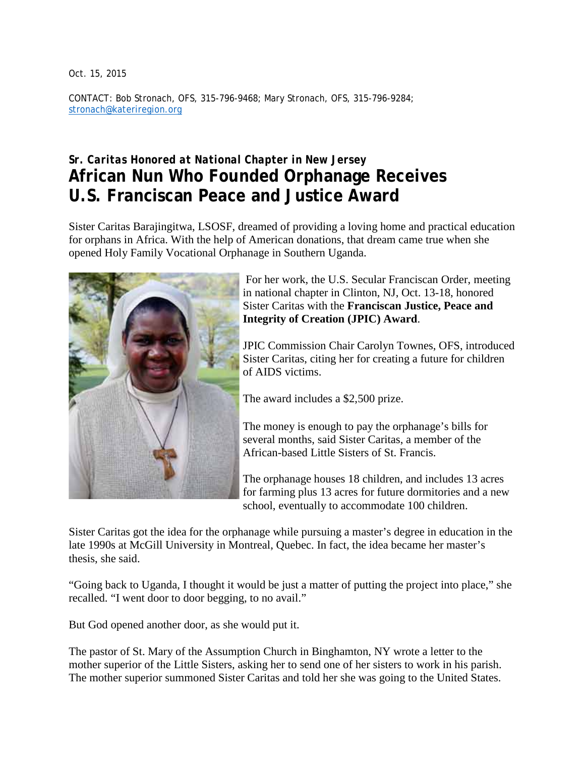Oct. 15, 2015

CONTACT: Bob Stronach, OFS, 315-796-9468; Mary Stronach, OFS, 315-796-9284; [stronach@kateriregion.org](mailto:stronach@kateriregion.org)

## *Sr. Caritas Honored at National Chapter in New Jersey* **African Nun Who Founded Orphanage Receives U.S. Franciscan Peace and Justice Award**

Sister Caritas Barajingitwa, LSOSF, dreamed of providing a loving home and practical education for orphans in Africa. With the help of American donations, that dream came true when she opened Holy Family Vocational Orphanage in Southern Uganda.



For her work, the U.S. Secular Franciscan Order, meeting in national chapter in Clinton, NJ, Oct. 13-18, honored Sister Caritas with the **Franciscan Justice, Peace and Integrity of Creation (JPIC) Award**.

JPIC Commission Chair Carolyn Townes, OFS, introduced Sister Caritas, citing her for creating a future for children of AIDS victims.

The award includes a \$2,500 prize.

The money is enough to pay the orphanage's bills for several months, said Sister Caritas, a member of the African-based Little Sisters of St. Francis.

The orphanage houses 18 children, and includes 13 acres for farming plus 13 acres for future dormitories and a new school, eventually to accommodate 100 children.

Sister Caritas got the idea for the orphanage while pursuing a master's degree in education in the late 1990s at McGill University in Montreal, Quebec. In fact, the idea became her master's thesis, she said.

"Going back to Uganda, I thought it would be just a matter of putting the project into place," she recalled. "I went door to door begging, to no avail."

But God opened another door, as she would put it.

The pastor of St. Mary of the Assumption Church in Binghamton, NY wrote a letter to the mother superior of the Little Sisters, asking her to send one of her sisters to work in his parish. The mother superior summoned Sister Caritas and told her she was going to the United States.